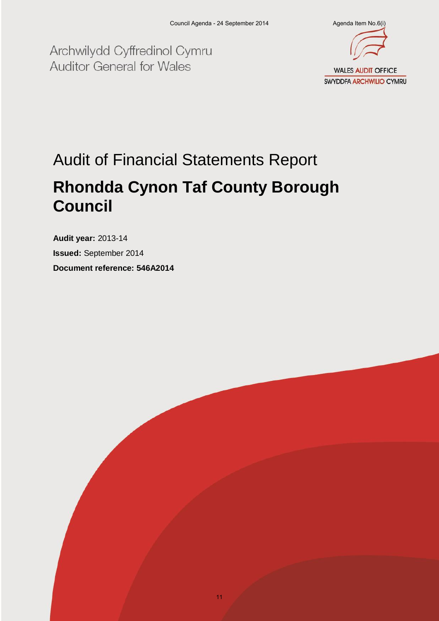Archwilydd Cyffredinol Cymru **Auditor General for Wales** 



# Audit of Financial Statements Report

## **Rhondda Cynon Taf County Borough Council**

**Audit year:** 2013-14 **Issued:** September 2014 **Document reference: 546A2014**

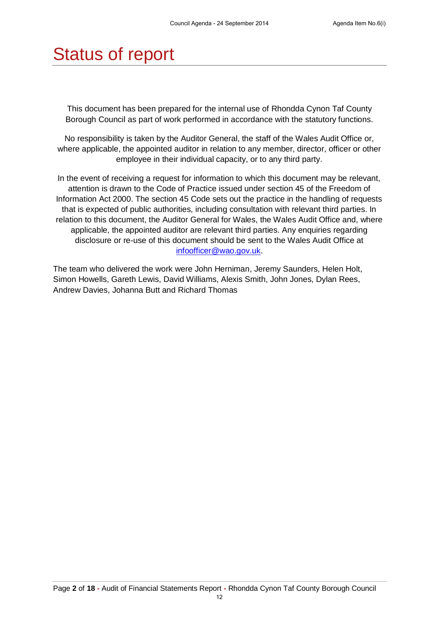# Status of report

This document has been prepared for the internal use of Rhondda Cynon Taf County Borough Council as part of work performed in accordance with the statutory functions.

No responsibility is taken by the Auditor General, the staff of the Wales Audit Office or, where applicable, the appointed auditor in relation to any member, director, officer or other employee in their individual capacity, or to any third party.

In the event of receiving a request for information to which this document may be relevant, attention is drawn to the Code of Practice issued under section 45 of the Freedom of Information Act 2000. The section 45 Code sets out the practice in the handling of requests that is expected of public authorities, including consultation with relevant third parties. In relation to this document, the Auditor General for Wales, the Wales Audit Office and, where applicable, the appointed auditor are relevant third parties. Any enquiries regarding disclosure or re-use of this document should be sent to the Wales Audit Office at [infoofficer@wao.gov.uk.](mailto:infoofficer@wao.gov.uk)

The team who delivered the work were John Herniman, Jeremy Saunders, Helen Holt, Simon Howells, Gareth Lewis, David Williams, Alexis Smith, John Jones, Dylan Rees, Andrew Davies, Johanna Butt and Richard Thomas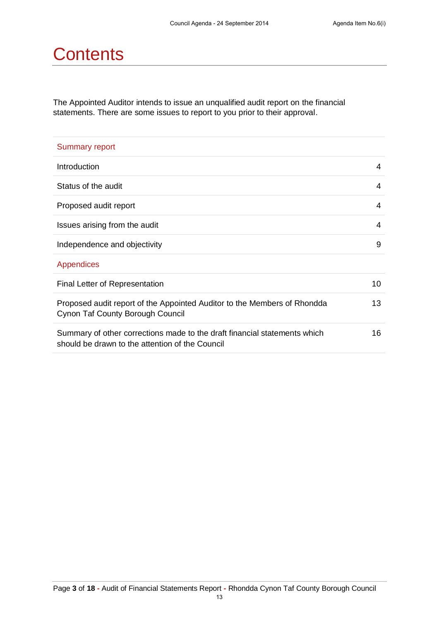## **Contents**

The Appointed Auditor intends to issue an unqualified audit report on the financial statements. There are some issues to report to you prior to their approval.

| <b>Summary report</b>                                                                                                        |    |
|------------------------------------------------------------------------------------------------------------------------------|----|
| <b>Introduction</b>                                                                                                          | 4  |
| Status of the audit                                                                                                          | 4  |
| Proposed audit report                                                                                                        | 4  |
| Issues arising from the audit                                                                                                | 4  |
| Independence and objectivity                                                                                                 | 9  |
| Appendices                                                                                                                   |    |
| Final Letter of Representation                                                                                               | 10 |
| Proposed audit report of the Appointed Auditor to the Members of Rhondda<br>Cynon Taf County Borough Council                 | 13 |
| Summary of other corrections made to the draft financial statements which<br>should be drawn to the attention of the Council | 16 |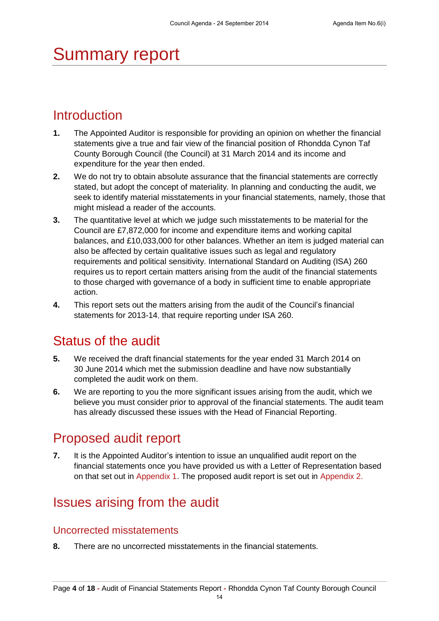# Summary report

## **Introduction**

- **1.** The Appointed Auditor is responsible for providing an opinion on whether the financial statements give a true and fair view of the financial position of Rhondda Cynon Taf County Borough Council (the Council) at 31 March 2014 and its income and expenditure for the year then ended.
- **2.** We do not try to obtain absolute assurance that the financial statements are correctly stated, but adopt the concept of materiality. In planning and conducting the audit, we seek to identify material misstatements in your financial statements, namely, those that might mislead a reader of the accounts.
- **3.** The quantitative level at which we judge such misstatements to be material for the Council are £7,872,000 for income and expenditure items and working capital balances, and £10,033,000 for other balances. Whether an item is judged material can also be affected by certain qualitative issues such as legal and regulatory requirements and political sensitivity. International Standard on Auditing (ISA) 260 requires us to report certain matters arising from the audit of the financial statements to those charged with governance of a body in sufficient time to enable appropriate action.
- **4.** This report sets out the matters arising from the audit of the Council's financial statements for 2013-14, that require reporting under ISA 260.

## Status of the audit

- **5.** We received the draft financial statements for the year ended 31 March 2014 on 30 June 2014 which met the submission deadline and have now substantially completed the audit work on them.
- **6.** We are reporting to you the more significant issues arising from the audit, which we believe you must consider prior to approval of the financial statements. The audit team has already discussed these issues with the Head of Financial Reporting.

## Proposed audit report

**7.** It is the Appointed Auditor's intention to issue an unqualified audit report on the financial statements once you have provided us with a Letter of Representation based on that set out in Appendix 1. The proposed audit report is set out in Appendix 2.

## Issues arising from the audit

### Uncorrected misstatements

**8.** There are no uncorrected misstatements in the financial statements.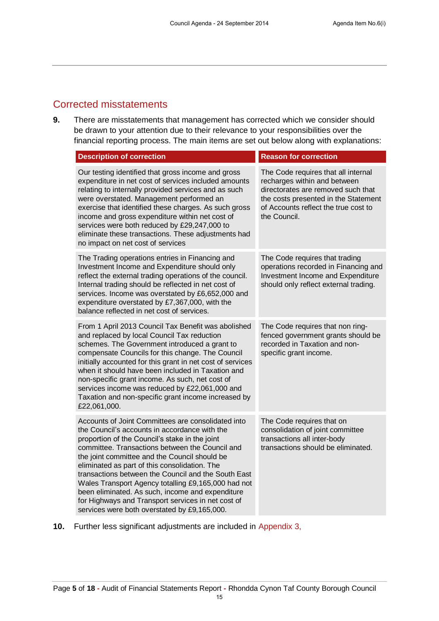### Corrected misstatements

**9.** There are misstatements that management has corrected which we consider should be drawn to your attention due to their relevance to your responsibilities over the financial reporting process. The main items are set out below along with explanations:

| <b>Description of correction</b>                                                                                                                                                                                                                                                                                                                                                                                                                                                                                                                                                   | <b>Reason for correction</b>                                                                                                                                                                              |
|------------------------------------------------------------------------------------------------------------------------------------------------------------------------------------------------------------------------------------------------------------------------------------------------------------------------------------------------------------------------------------------------------------------------------------------------------------------------------------------------------------------------------------------------------------------------------------|-----------------------------------------------------------------------------------------------------------------------------------------------------------------------------------------------------------|
| Our testing identified that gross income and gross<br>expenditure in net cost of services included amounts<br>relating to internally provided services and as such<br>were overstated. Management performed an<br>exercise that identified these charges. As such gross<br>income and gross expenditure within net cost of<br>services were both reduced by £29,247,000 to<br>eliminate these transactions. These adjustments had<br>no impact on net cost of services                                                                                                             | The Code requires that all internal<br>recharges within and between<br>directorates are removed such that<br>the costs presented in the Statement<br>of Accounts reflect the true cost to<br>the Council. |
| The Trading operations entries in Financing and<br>Investment Income and Expenditure should only<br>reflect the external trading operations of the council.<br>Internal trading should be reflected in net cost of<br>services. Income was overstated by £6,652,000 and<br>expenditure overstated by £7,367,000, with the<br>balance reflected in net cost of services.                                                                                                                                                                                                            | The Code requires that trading<br>operations recorded in Financing and<br>Investment Income and Expenditure<br>should only reflect external trading.                                                      |
| From 1 April 2013 Council Tax Benefit was abolished<br>and replaced by local Council Tax reduction<br>schemes. The Government introduced a grant to<br>compensate Councils for this change. The Council<br>initially accounted for this grant in net cost of services<br>when it should have been included in Taxation and<br>non-specific grant income. As such, net cost of<br>services income was reduced by £22,061,000 and<br>Taxation and non-specific grant income increased by<br>£22,061,000.                                                                             | The Code requires that non ring-<br>fenced government grants should be<br>recorded in Taxation and non-<br>specific grant income.                                                                         |
| Accounts of Joint Committees are consolidated into<br>the Council's accounts in accordance with the<br>proportion of the Council's stake in the joint<br>committee. Transactions between the Council and<br>the joint committee and the Council should be<br>eliminated as part of this consolidation. The<br>transactions between the Council and the South East<br>Wales Transport Agency totalling £9,165,000 had not<br>been eliminated. As such, income and expenditure<br>for Highways and Transport services in net cost of<br>services were both overstated by £9,165,000. | The Code requires that on<br>consolidation of joint committee<br>transactions all inter-body<br>transactions should be eliminated.                                                                        |

**10.** Further less significant adjustments are included in Appendix 3,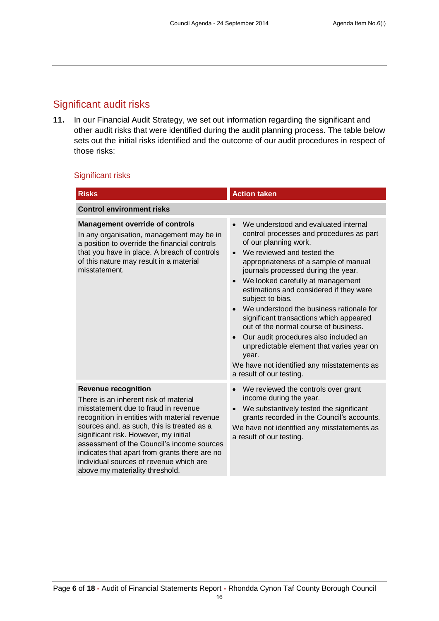### Significant audit risks

**11.** In our Financial Audit Strategy, we set out information regarding the significant and other audit risks that were identified during the audit planning process. The table below sets out the initial risks identified and the outcome of our audit procedures in respect of those risks:

#### Significant risks

| <b>Risks</b>                                                                                                                                                                                                                                                                                                                                                                                                                     | <b>Action taken</b>                                                                                                                                                                                                                                                                                                                                                                                                                                                                                                                                                                                                                                |  |  |
|----------------------------------------------------------------------------------------------------------------------------------------------------------------------------------------------------------------------------------------------------------------------------------------------------------------------------------------------------------------------------------------------------------------------------------|----------------------------------------------------------------------------------------------------------------------------------------------------------------------------------------------------------------------------------------------------------------------------------------------------------------------------------------------------------------------------------------------------------------------------------------------------------------------------------------------------------------------------------------------------------------------------------------------------------------------------------------------------|--|--|
| <b>Control environment risks</b>                                                                                                                                                                                                                                                                                                                                                                                                 |                                                                                                                                                                                                                                                                                                                                                                                                                                                                                                                                                                                                                                                    |  |  |
| <b>Management override of controls</b><br>In any organisation, management may be in<br>a position to override the financial controls<br>that you have in place. A breach of controls<br>of this nature may result in a material<br>misstatement.                                                                                                                                                                                 | We understood and evaluated internal<br>control processes and procedures as part<br>of our planning work.<br>We reviewed and tested the<br>appropriateness of a sample of manual<br>journals processed during the year.<br>We looked carefully at management<br>$\bullet$<br>estimations and considered if they were<br>subject to bias.<br>We understood the business rationale for<br>significant transactions which appeared<br>out of the normal course of business.<br>Our audit procedures also included an<br>unpredictable element that varies year on<br>year.<br>We have not identified any misstatements as<br>a result of our testing. |  |  |
| <b>Revenue recognition</b><br>There is an inherent risk of material<br>misstatement due to fraud in revenue<br>recognition in entities with material revenue<br>sources and, as such, this is treated as a<br>significant risk. However, my initial<br>assessment of the Council's income sources<br>indicates that apart from grants there are no<br>individual sources of revenue which are<br>above my materiality threshold. | We reviewed the controls over grant<br>$\bullet$<br>income during the year.<br>We substantively tested the significant<br>grants recorded in the Council's accounts.<br>We have not identified any misstatements as<br>a result of our testing.                                                                                                                                                                                                                                                                                                                                                                                                    |  |  |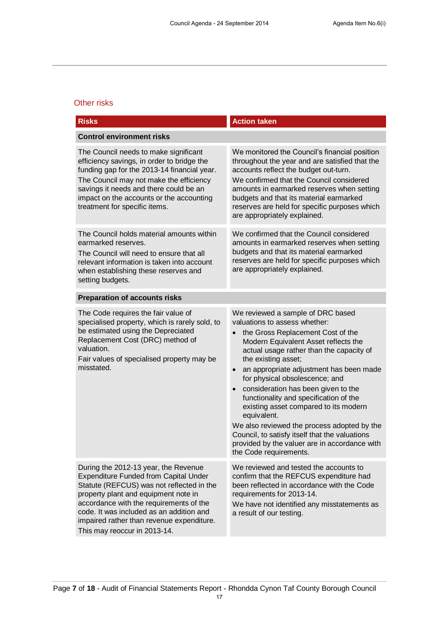### Other risks

| <b>Risks</b>                                                                                                                                                                                                                                                                                                                                  | <b>Action taken</b>                                                                                                                                                                                                                                                                                                                                                                                                                                                                                                                                                                                                                                         |  |
|-----------------------------------------------------------------------------------------------------------------------------------------------------------------------------------------------------------------------------------------------------------------------------------------------------------------------------------------------|-------------------------------------------------------------------------------------------------------------------------------------------------------------------------------------------------------------------------------------------------------------------------------------------------------------------------------------------------------------------------------------------------------------------------------------------------------------------------------------------------------------------------------------------------------------------------------------------------------------------------------------------------------------|--|
| <b>Control environment risks</b>                                                                                                                                                                                                                                                                                                              |                                                                                                                                                                                                                                                                                                                                                                                                                                                                                                                                                                                                                                                             |  |
| The Council needs to make significant<br>efficiency savings, in order to bridge the<br>funding gap for the 2013-14 financial year.<br>The Council may not make the efficiency<br>savings it needs and there could be an<br>impact on the accounts or the accounting<br>treatment for specific items.                                          | We monitored the Council's financial position<br>throughout the year and are satisfied that the<br>accounts reflect the budget out-turn.<br>We confirmed that the Council considered<br>amounts in earmarked reserves when setting<br>budgets and that its material earmarked<br>reserves are held for specific purposes which<br>are appropriately explained.                                                                                                                                                                                                                                                                                              |  |
| The Council holds material amounts within<br>earmarked reserves.<br>The Council will need to ensure that all<br>relevant information is taken into account<br>when establishing these reserves and<br>setting budgets.                                                                                                                        | We confirmed that the Council considered<br>amounts in earmarked reserves when setting<br>budgets and that its material earmarked<br>reserves are held for specific purposes which<br>are appropriately explained.                                                                                                                                                                                                                                                                                                                                                                                                                                          |  |
| <b>Preparation of accounts risks</b>                                                                                                                                                                                                                                                                                                          |                                                                                                                                                                                                                                                                                                                                                                                                                                                                                                                                                                                                                                                             |  |
| The Code requires the fair value of<br>specialised property, which is rarely sold, to<br>be estimated using the Depreciated<br>Replacement Cost (DRC) method of<br>valuation.<br>Fair values of specialised property may be<br>misstated.                                                                                                     | We reviewed a sample of DRC based<br>valuations to assess whether:<br>the Gross Replacement Cost of the<br>$\bullet$<br>Modern Equivalent Asset reflects the<br>actual usage rather than the capacity of<br>the existing asset;<br>an appropriate adjustment has been made<br>$\bullet$<br>for physical obsolescence; and<br>consideration has been given to the<br>$\bullet$<br>functionality and specification of the<br>existing asset compared to its modern<br>equivalent.<br>We also reviewed the process adopted by the<br>Council, to satisfy itself that the valuations<br>provided by the valuer are in accordance with<br>the Code requirements. |  |
| During the 2012-13 year, the Revenue<br><b>Expenditure Funded from Capital Under</b><br>Statute (REFCUS) was not reflected in the<br>property plant and equipment note in<br>accordance with the requirements of the<br>code. It was included as an addition and<br>impaired rather than revenue expenditure.<br>This may reoccur in 2013-14. | We reviewed and tested the accounts to<br>confirm that the REFCUS expenditure had<br>been reflected in accordance with the Code<br>requirements for 2013-14.<br>We have not identified any misstatements as<br>a result of our testing.                                                                                                                                                                                                                                                                                                                                                                                                                     |  |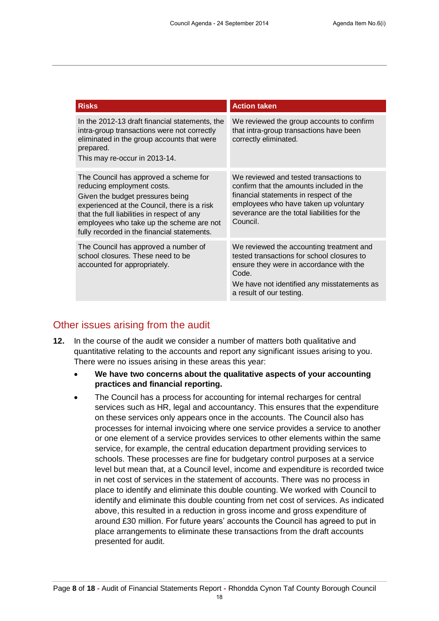| <b>Risks</b>                                                                                                                                                                                                                                                                                     | <b>Action taken</b>                                                                                                                                                                                                              |
|--------------------------------------------------------------------------------------------------------------------------------------------------------------------------------------------------------------------------------------------------------------------------------------------------|----------------------------------------------------------------------------------------------------------------------------------------------------------------------------------------------------------------------------------|
| In the 2012-13 draft financial statements, the<br>intra-group transactions were not correctly<br>eliminated in the group accounts that were<br>prepared.<br>This may re-occur in 2013-14.                                                                                                        | We reviewed the group accounts to confirm<br>that intra-group transactions have been<br>correctly eliminated.                                                                                                                    |
| The Council has approved a scheme for<br>reducing employment costs.<br>Given the budget pressures being<br>experienced at the Council, there is a risk<br>that the full liabilities in respect of any<br>employees who take up the scheme are not<br>fully recorded in the financial statements. | We reviewed and tested transactions to<br>confirm that the amounts included in the<br>financial statements in respect of the<br>employees who have taken up voluntary<br>severance are the total liabilities for the<br>Council. |
| The Council has approved a number of<br>school closures. These need to be<br>accounted for appropriately.                                                                                                                                                                                        | We reviewed the accounting treatment and<br>tested transactions for school closures to<br>ensure they were in accordance with the<br>Code.<br>We have not identified any misstatements as<br>a result of our testing.            |

### Other issues arising from the audit

- **12.** In the course of the audit we consider a number of matters both qualitative and quantitative relating to the accounts and report any significant issues arising to you. There were no issues arising in these areas this year:
	- **We have two concerns about the qualitative aspects of your accounting practices and financial reporting.**
	- The Council has a process for accounting for internal recharges for central services such as HR, legal and accountancy. This ensures that the expenditure on these services only appears once in the accounts. The Council also has processes for internal invoicing where one service provides a service to another or one element of a service provides services to other elements within the same service, for example, the central education department providing services to schools. These processes are fine for budgetary control purposes at a service level but mean that, at a Council level, income and expenditure is recorded twice in net cost of services in the statement of accounts. There was no process in place to identify and eliminate this double counting. We worked with Council to identify and eliminate this double counting from net cost of services. As indicated above, this resulted in a reduction in gross income and gross expenditure of around £30 million. For future years' accounts the Council has agreed to put in place arrangements to eliminate these transactions from the draft accounts presented for audit.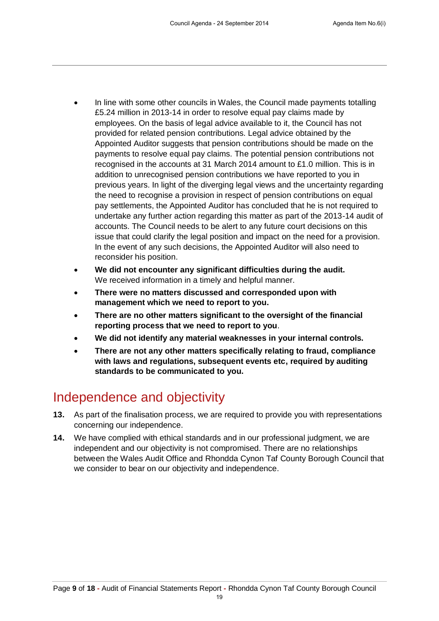- In line with some other councils in Wales, the Council made payments totalling £5.24 million in 2013-14 in order to resolve equal pay claims made by employees. On the basis of legal advice available to it, the Council has not provided for related pension contributions. Legal advice obtained by the Appointed Auditor suggests that pension contributions should be made on the payments to resolve equal pay claims. The potential pension contributions not recognised in the accounts at 31 March 2014 amount to £1.0 million. This is in addition to unrecognised pension contributions we have reported to you in previous years. In light of the diverging legal views and the uncertainty regarding the need to recognise a provision in respect of pension contributions on equal pay settlements, the Appointed Auditor has concluded that he is not required to undertake any further action regarding this matter as part of the 2013-14 audit of accounts. The Council needs to be alert to any future court decisions on this issue that could clarify the legal position and impact on the need for a provision. In the event of any such decisions, the Appointed Auditor will also need to reconsider his position.
- **We did not encounter any significant difficulties during the audit.** We received information in a timely and helpful manner.
- **There were no matters discussed and corresponded upon with management which we need to report to you.**
- **There are no other matters significant to the oversight of the financial reporting process that we need to report to you**.
- **We did not identify any material weaknesses in your internal controls.**
- **There are not any other matters specifically relating to fraud, compliance with laws and regulations, subsequent events etc, required by auditing standards to be communicated to you.**

## Independence and objectivity

- **13.** As part of the finalisation process, we are required to provide you with representations concerning our independence.
- **14.** We have complied with ethical standards and in our professional judgment, we are independent and our objectivity is not compromised. There are no relationships between the Wales Audit Office and Rhondda Cynon Taf County Borough Council that we consider to bear on our objectivity and independence.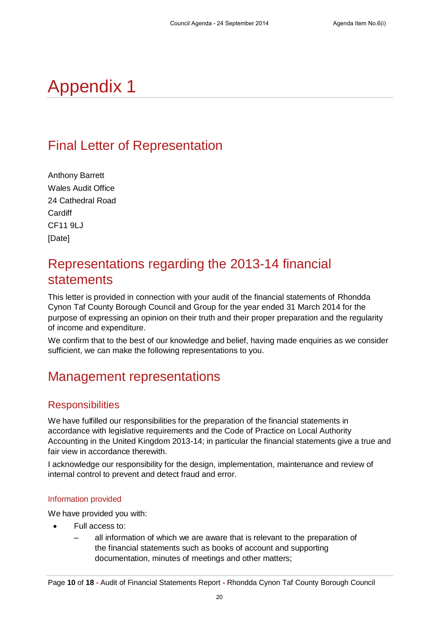# Appendix 1

## Final Letter of Representation

Anthony Barrett Wales Audit Office 24 Cathedral Road **Cardiff** CF11 9LJ [Date]

## Representations regarding the 2013-14 financial statements

This letter is provided in connection with your audit of the financial statements of Rhondda Cynon Taf County Borough Council and Group for the year ended 31 March 2014 for the purpose of expressing an opinion on their truth and their proper preparation and the regularity of income and expenditure.

We confirm that to the best of our knowledge and belief, having made enquiries as we consider sufficient, we can make the following representations to you.

## Management representations

### **Responsibilities**

We have fulfilled our responsibilities for the preparation of the financial statements in accordance with legislative requirements and the Code of Practice on Local Authority Accounting in the United Kingdom 2013-14; in particular the financial statements give a true and fair view in accordance therewith.

I acknowledge our responsibility for the design, implementation, maintenance and review of internal control to prevent and detect fraud and error.

#### Information provided

We have provided you with:

- Full access to:
	- all information of which we are aware that is relevant to the preparation of the financial statements such as books of account and supporting documentation, minutes of meetings and other matters;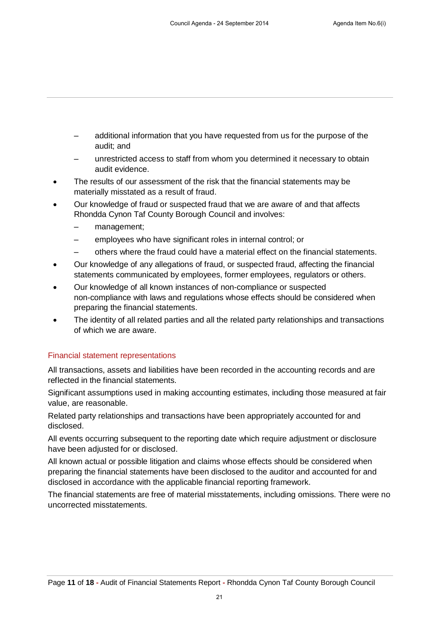- additional information that you have requested from us for the purpose of the audit; and
- unrestricted access to staff from whom you determined it necessary to obtain audit evidence.
- The results of our assessment of the risk that the financial statements may be materially misstated as a result of fraud.
- Our knowledge of fraud or suspected fraud that we are aware of and that affects Rhondda Cynon Taf County Borough Council and involves:
	- management:
	- employees who have significant roles in internal control; or
	- others where the fraud could have a material effect on the financial statements.
- Our knowledge of any allegations of fraud, or suspected fraud, affecting the financial statements communicated by employees, former employees, regulators or others.
- Our knowledge of all known instances of non-compliance or suspected non-compliance with laws and regulations whose effects should be considered when preparing the financial statements.
- The identity of all related parties and all the related party relationships and transactions of which we are aware.

#### Financial statement representations

All transactions, assets and liabilities have been recorded in the accounting records and are reflected in the financial statements.

Significant assumptions used in making accounting estimates, including those measured at fair value, are reasonable.

Related party relationships and transactions have been appropriately accounted for and disclosed.

All events occurring subsequent to the reporting date which require adjustment or disclosure have been adjusted for or disclosed.

All known actual or possible litigation and claims whose effects should be considered when preparing the financial statements have been disclosed to the auditor and accounted for and disclosed in accordance with the applicable financial reporting framework.

The financial statements are free of material misstatements, including omissions. There were no uncorrected misstatements.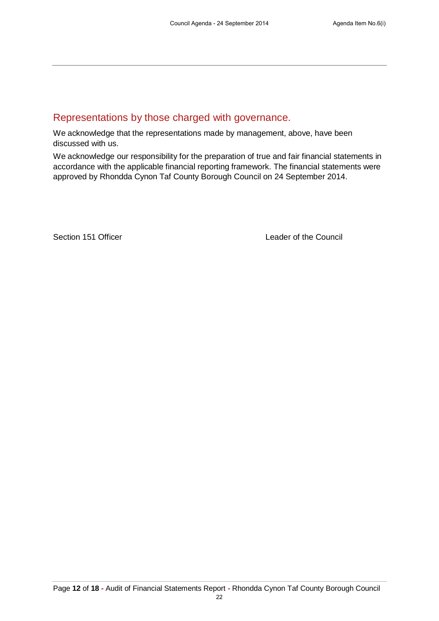### Representations by those charged with governance.

We acknowledge that the representations made by management, above, have been discussed with us.

We acknowledge our responsibility for the preparation of true and fair financial statements in accordance with the applicable financial reporting framework. The financial statements were approved by Rhondda Cynon Taf County Borough Council on 24 September 2014.

Section 151 Officer **Leader of the Council**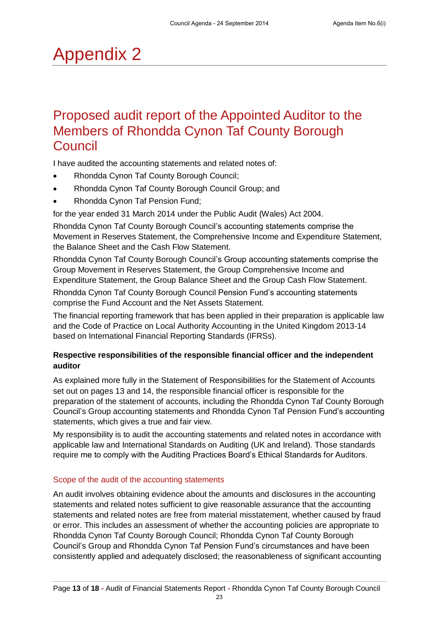# Appendix 2

## Proposed audit report of the Appointed Auditor to the Members of Rhondda Cynon Taf County Borough Council

I have audited the accounting statements and related notes of:

- Rhondda Cynon Taf County Borough Council;
- Rhondda Cynon Taf County Borough Council Group; and
- Rhondda Cynon Taf Pension Fund;

for the year ended 31 March 2014 under the Public Audit (Wales) Act 2004.

Rhondda Cynon Taf County Borough Council's accounting statements comprise the Movement in Reserves Statement, the Comprehensive Income and Expenditure Statement, the Balance Sheet and the Cash Flow Statement.

Rhondda Cynon Taf County Borough Council's Group accounting statements comprise the Group Movement in Reserves Statement, the Group Comprehensive Income and Expenditure Statement, the Group Balance Sheet and the Group Cash Flow Statement. Rhondda Cynon Taf County Borough Council Pension Fund's accounting statements comprise the Fund Account and the Net Assets Statement.

The financial reporting framework that has been applied in their preparation is applicable law and the Code of Practice on Local Authority Accounting in the United Kingdom 2013-14 based on International Financial Reporting Standards (IFRSs).

#### **Respective responsibilities of the responsible financial officer and the independent auditor**

As explained more fully in the Statement of Responsibilities for the Statement of Accounts set out on pages 13 and 14, the responsible financial officer is responsible for the preparation of the statement of accounts, including the Rhondda Cynon Taf County Borough Council's Group accounting statements and Rhondda Cynon Taf Pension Fund's accounting statements, which gives a true and fair view.

My responsibility is to audit the accounting statements and related notes in accordance with applicable law and International Standards on Auditing (UK and Ireland). Those standards require me to comply with the Auditing Practices Board's Ethical Standards for Auditors.

#### Scope of the audit of the accounting statements

An audit involves obtaining evidence about the amounts and disclosures in the accounting statements and related notes sufficient to give reasonable assurance that the accounting statements and related notes are free from material misstatement, whether caused by fraud or error. This includes an assessment of whether the accounting policies are appropriate to Rhondda Cynon Taf County Borough Council; Rhondda Cynon Taf County Borough Council's Group and Rhondda Cynon Taf Pension Fund's circumstances and have been consistently applied and adequately disclosed; the reasonableness of significant accounting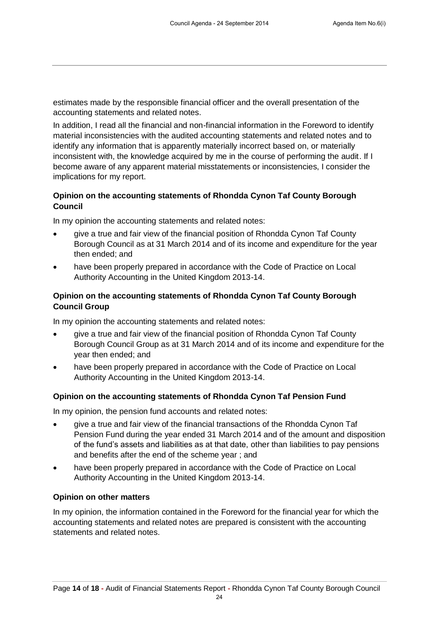estimates made by the responsible financial officer and the overall presentation of the accounting statements and related notes.

In addition, I read all the financial and non-financial information in the Foreword to identify material inconsistencies with the audited accounting statements and related notes and to identify any information that is apparently materially incorrect based on, or materially inconsistent with, the knowledge acquired by me in the course of performing the audit. If I become aware of any apparent material misstatements or inconsistencies, I consider the implications for my report.

#### **Opinion on the accounting statements of Rhondda Cynon Taf County Borough Council**

In my opinion the accounting statements and related notes:

- give a true and fair view of the financial position of Rhondda Cynon Taf County Borough Council as at 31 March 2014 and of its income and expenditure for the year then ended; and
- have been properly prepared in accordance with the Code of Practice on Local Authority Accounting in the United Kingdom 2013-14.

#### **Opinion on the accounting statements of Rhondda Cynon Taf County Borough Council Group**

In my opinion the accounting statements and related notes:

- give a true and fair view of the financial position of Rhondda Cynon Taf County Borough Council Group as at 31 March 2014 and of its income and expenditure for the year then ended; and
- have been properly prepared in accordance with the Code of Practice on Local Authority Accounting in the United Kingdom 2013-14.

#### **Opinion on the accounting statements of Rhondda Cynon Taf Pension Fund**

In my opinion, the pension fund accounts and related notes:

- give a true and fair view of the financial transactions of the Rhondda Cynon Taf Pension Fund during the year ended 31 March 2014 and of the amount and disposition of the fund's assets and liabilities as at that date, other than liabilities to pay pensions and benefits after the end of the scheme year ; and
- have been properly prepared in accordance with the Code of Practice on Local Authority Accounting in the United Kingdom 2013-14.

#### **Opinion on other matters**

In my opinion, the information contained in the Foreword for the financial year for which the accounting statements and related notes are prepared is consistent with the accounting statements and related notes.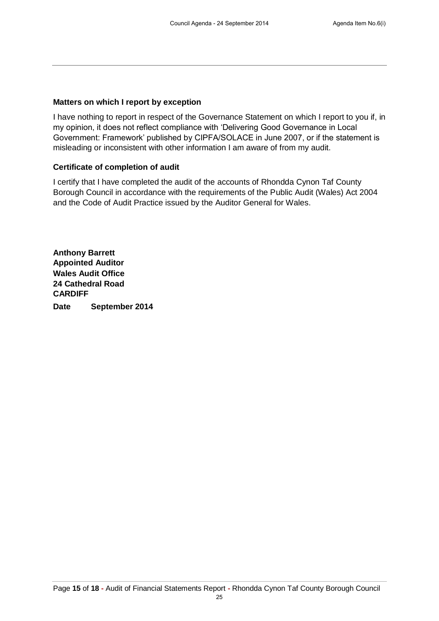### **Matters on which I report by exception**

I have nothing to report in respect of the Governance Statement on which I report to you if, in my opinion, it does not reflect compliance with 'Delivering Good Governance in Local Government: Framework' published by CIPFA/SOLACE in June 2007, or if the statement is misleading or inconsistent with other information I am aware of from my audit.

### **Certificate of completion of audit**

I certify that I have completed the audit of the accounts of Rhondda Cynon Taf County Borough Council in accordance with the requirements of the Public Audit (Wales) Act 2004 and the Code of Audit Practice issued by the Auditor General for Wales.

**Anthony Barrett Appointed Auditor Wales Audit Office 24 Cathedral Road CARDIFF Date September 2014**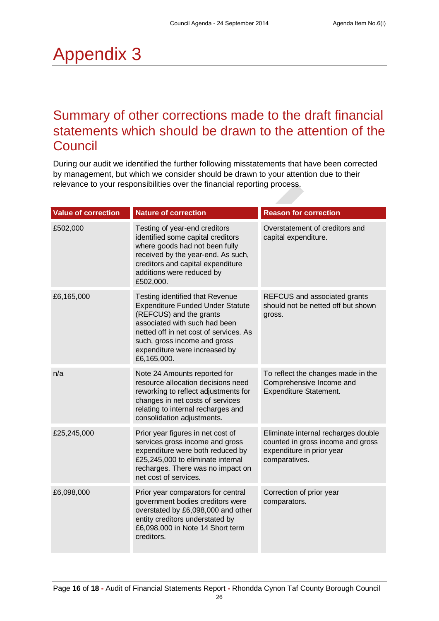# Appendix 3

## Summary of other corrections made to the draft financial statements which should be drawn to the attention of the Council

During our audit we identified the further following misstatements that have been corrected by management, but which we consider should be drawn to your attention due to their relevance to your responsibilities over the financial reporting process.

| <b>Value of correction</b> | <b>Nature of correction</b>                                                                                                                                                                                                                                      | <b>Reason for correction</b>                                                                                           |
|----------------------------|------------------------------------------------------------------------------------------------------------------------------------------------------------------------------------------------------------------------------------------------------------------|------------------------------------------------------------------------------------------------------------------------|
| £502,000                   | Testing of year-end creditors<br>identified some capital creditors<br>where goods had not been fully<br>received by the year-end. As such,<br>creditors and capital expenditure<br>additions were reduced by<br>£502,000.                                        | Overstatement of creditors and<br>capital expenditure.                                                                 |
| £6,165,000                 | Testing identified that Revenue<br><b>Expenditure Funded Under Statute</b><br>(REFCUS) and the grants<br>associated with such had been<br>netted off in net cost of services. As<br>such, gross income and gross<br>expenditure were increased by<br>£6,165,000. | REFCUS and associated grants<br>should not be netted off but shown<br>gross.                                           |
| n/a                        | Note 24 Amounts reported for<br>resource allocation decisions need<br>reworking to reflect adjustments for<br>changes in net costs of services<br>relating to internal recharges and<br>consolidation adjustments.                                               | To reflect the changes made in the<br>Comprehensive Income and<br>Expenditure Statement.                               |
| £25,245,000                | Prior year figures in net cost of<br>services gross income and gross<br>expenditure were both reduced by<br>£25,245,000 to eliminate internal<br>recharges. There was no impact on<br>net cost of services.                                                      | Eliminate internal recharges double<br>counted in gross income and gross<br>expenditure in prior year<br>comparatives. |
| £6,098,000                 | Prior year comparators for central<br>government bodies creditors were<br>overstated by £6,098,000 and other<br>entity creditors understated by<br>£6,098,000 in Note 14 Short term<br>creditors.                                                                | Correction of prior year<br>comparators.                                                                               |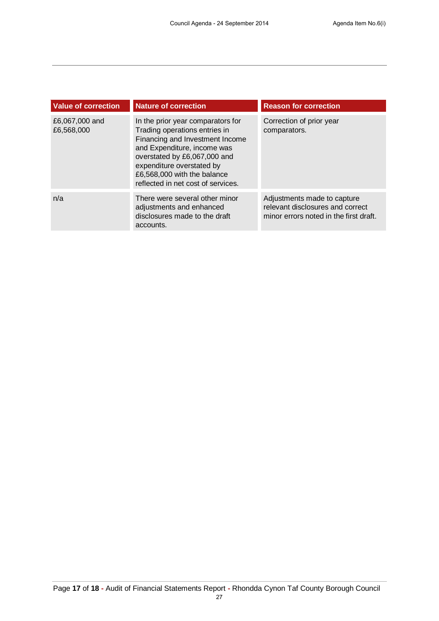| <b>Value of correction</b>   | <b>Nature of correction</b>                                                                                                                                                                                                                                            | <b>Reason for correction</b>                                                                              |
|------------------------------|------------------------------------------------------------------------------------------------------------------------------------------------------------------------------------------------------------------------------------------------------------------------|-----------------------------------------------------------------------------------------------------------|
| £6,067,000 and<br>£6,568,000 | In the prior year comparators for<br>Trading operations entries in<br>Financing and Investment Income<br>and Expenditure, income was<br>overstated by £6,067,000 and<br>expenditure overstated by<br>£6,568,000 with the balance<br>reflected in net cost of services. | Correction of prior year<br>comparators.                                                                  |
| n/a                          | There were several other minor<br>adjustments and enhanced<br>disclosures made to the draft<br>accounts.                                                                                                                                                               | Adjustments made to capture<br>relevant disclosures and correct<br>minor errors noted in the first draft. |